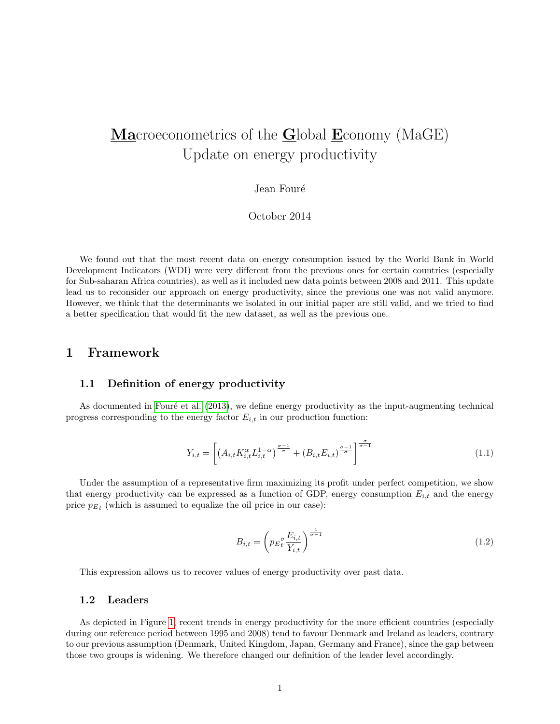# Macroeconometrics of the Global Economy (MaGE) Update on energy productivity

#### Jean Fouré

### October 2014

We found out that the most recent data on energy consumption issued by the World Bank in World Development Indicators (WDI) were very different from the previous ones for certain countries (especially for Sub-saharan Africa countries), as well as it included new data points between 2008 and 2011. This update lead us to reconsider our approach on energy productivity, since the previous one was not valid anymore. However, we think that the determinants we isolated in our initial paper are still valid, and we tried to find a better specification that would fit the new dataset, as well as the previous one.

### 1 Framework

#### 1.1 Definition of energy productivity

As documented in Fouré et al. [\(2013\)](#page-4-0), we define energy productivity as the input-augmenting technical progress corresponding to the energy factor  $E_{i,t}$  in our production function:

$$
Y_{i,t} = \left[ \left( A_{i,t} K_{i,t}^{\alpha} L_{i,t}^{1-\alpha} \right)^{\frac{\sigma-1}{\sigma}} + \left( B_{i,t} E_{i,t} \right)^{\frac{\sigma-1}{\sigma}} \right]^{\frac{\sigma}{\sigma-1}} \tag{1.1}
$$

Under the assumption of a representative firm maximizing its profit under perfect competition, we show that energy productivity can be expressed as a function of GDP, energy consumption  $E_{i,t}$  and the energy price  $p_{E_t}$  (which is assumed to equalize the oil price in our case):

$$
B_{i,t} = \left( p_E \frac{E_{i,t}}{Y_{i,t}} \right)^{\frac{1}{\sigma - 1}} \tag{1.2}
$$

This expression allows us to recover values of energy productivity over past data.

#### 1.2 Leaders

As depicted in Figure [1,](#page-1-0) recent trends in energy productivity for the more efficient countries (especially during our reference period between 1995 and 2008) tend to favour Denmark and Ireland as leaders, contrary to our previous assumption (Denmark, United Kingdom, Japan, Germany and France), since the gap between those two groups is widening. We therefore changed our definition of the leader level accordingly.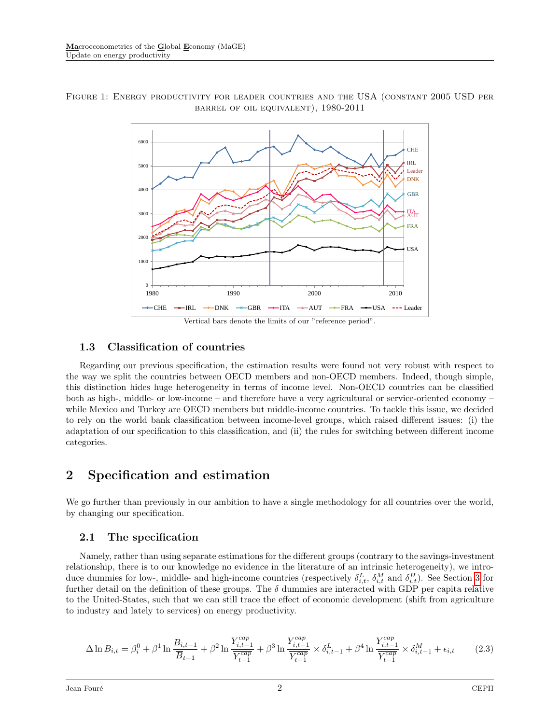

<span id="page-1-0"></span>Figure 1: Energy productivity for leader countries and the USA (constant 2005 USD per barrel of oil equivalent), 1980-2011

### 1.3 Classification of countries

Regarding our previous specification, the estimation results were found not very robust with respect to the way we split the countries between OECD members and non-OECD members. Indeed, though simple, this distinction hides huge heterogeneity in terms of income level. Non-OECD countries can be classified both as high-, middle- or low-income – and therefore have a very agricultural or service-oriented economy – while Mexico and Turkey are OECD members but middle-income countries. To tackle this issue, we decided to rely on the world bank classification between income-level groups, which raised different issues: (i) the adaptation of our specification to this classification, and (ii) the rules for switching between different income categories.

### 2 Specification and estimation

We go further than previously in our ambition to have a single methodology for all countries over the world, by changing our specification.

### 2.1 The specification

Namely, rather than using separate estimations for the different groups (contrary to the savings-investment relationship, there is to our knowledge no evidence in the literature of an intrinsic heterogeneity), we introduce dummies for low-, middle- and high-income countries (respectively  $\delta_{i,t}^L$ ,  $\delta_{i,t}^M$  and  $\delta_{i,t}^H$ ). See Section [3](#page-3-0) for further detail on the definition of these groups. The  $\delta$  dummies are interacted with GDP per capita relative to the United-States, such that we can still trace the effect of economic development (shift from agriculture to industry and lately to services) on energy productivity.

<span id="page-1-1"></span>
$$
\Delta \ln B_{i,t} = \beta_i^0 + \beta^1 \ln \frac{B_{i,t-1}}{\overline{B}_{t-1}} + \beta^2 \ln \frac{Y_{i,t-1}^{cap}}{\overline{Y_{t-1}^{cap}}} + \beta^3 \ln \frac{Y_{i,t-1}^{cap}}{\overline{Y_{t-1}^{cap}}} \times \delta_{i,t-1}^L + \beta^4 \ln \frac{Y_{i,t-1}^{cap}}{\overline{Y_{t-1}^{cap}}} \times \delta_{i,t-1}^M + \epsilon_{i,t}
$$
(2.3)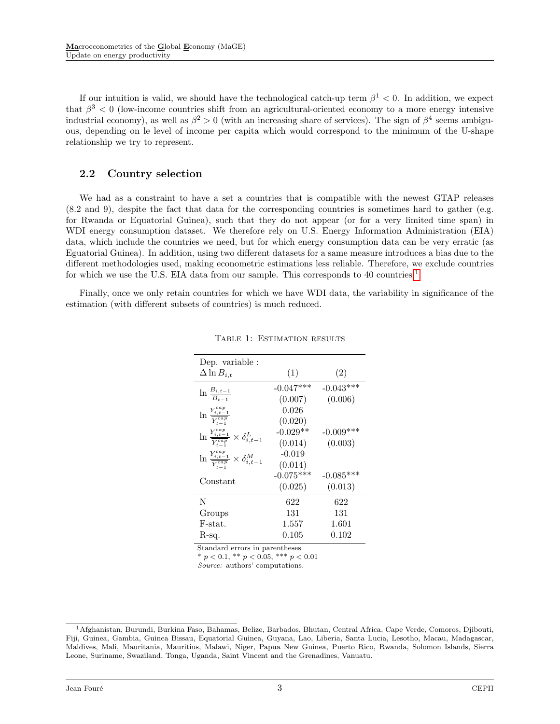If our intuition is valid, we should have the technological catch-up term  $\beta^1 < 0$ . In addition, we expect that  $\beta^3$  < 0 (low-income countries shift from an agricultural-oriented economy to a more energy intensive industrial economy), as well as  $\beta^2 > 0$  (with an increasing share of services). The sign of  $\beta^4$  seems ambiguous, depending on le level of income per capita which would correspond to the minimum of the U-shape relationship we try to represent.

### 2.2 Country selection

We had as a constraint to have a set a countries that is compatible with the newest GTAP releases (8.2 and 9), despite the fact that data for the corresponding countries is sometimes hard to gather (e.g. for Rwanda or Equatorial Guinea), such that they do not appear (or for a very limited time span) in WDI energy consumption dataset. We therefore rely on U.S. Energy Information Administration (EIA) data, which include the countries we need, but for which energy consumption data can be very erratic (as Eguatorial Guinea). In addition, using two different datasets for a same measure introduces a bias due to the different methodologies used, making econometric estimations less reliable. Therefore, we exclude countries for which we use the U.S. EIA data from our sample. This corresponds to 40 countries.<sup>[1](#page-2-0)</sup>

<span id="page-2-1"></span>Finally, once we only retain countries for which we have WDI data, the variability in significance of the estimation (with different subsets of countries) is much reduced.

| Dep. variable :                                                    |             |             |
|--------------------------------------------------------------------|-------------|-------------|
| $\Delta \ln B_{i,t}$                                               | (1)         | (2)         |
| $\ln \frac{B_{i,t-1}}{\overline{B}_{t-1}}$                         | $-0.047***$ | $-0.043***$ |
|                                                                    | (0.007)     | (0.006)     |
| $\ln \frac{Y_{i,t-1}^{cap}}{Y_{t}^{cap}}$                          | 0.026       |             |
|                                                                    | (0.020)     |             |
| $\ln \frac{I_{i,t-1}}{Y_{i,t-1}} \times \delta_{i,t-1}^L$          | $-0.029**$  | $-0.009***$ |
|                                                                    | (0.014)     | (0.003)     |
| ln $\frac{Y_{i,t-1}^{cap}}{Y_{t-1}^{cap}} \times \delta_{i,t-1}^M$ | $-0.019$    |             |
|                                                                    | (0.014)     |             |
| Constant                                                           | $-0.075***$ | $-0.085***$ |
|                                                                    | (0.025)     | (0.013)     |
| N                                                                  | 622         | 622         |
| Groups                                                             | 131         | 131         |
| F-stat.                                                            | 1.557       | 1.601       |
| R-sq.                                                              | $\rm 0.105$ | $\,0.102\,$ |

TABLE 1: ESTIMATION RESULTS

<span id="page-2-0"></span>Standard errors in parentheses

\*  $p < 0.1$ , \*\*  $p < 0.05$ , \*\*\*  $p < 0.01$ 

Source: authors' computations.

<sup>1</sup>Afghanistan, Burundi, Burkina Faso, Bahamas, Belize, Barbados, Bhutan, Central Africa, Cape Verde, Comoros, Djibouti, Fiji, Guinea, Gambia, Guinea Bissau, Equatorial Guinea, Guyana, Lao, Liberia, Santa Lucia, Lesotho, Macau, Madagascar, Maldives, Mali, Mauritania, Mauritius, Malawi, Niger, Papua New Guinea, Puerto Rico, Rwanda, Solomon Islands, Sierra Leone, Suriname, Swaziland, Tonga, Uganda, Saint Vincent and the Grenadines, Vanuatu.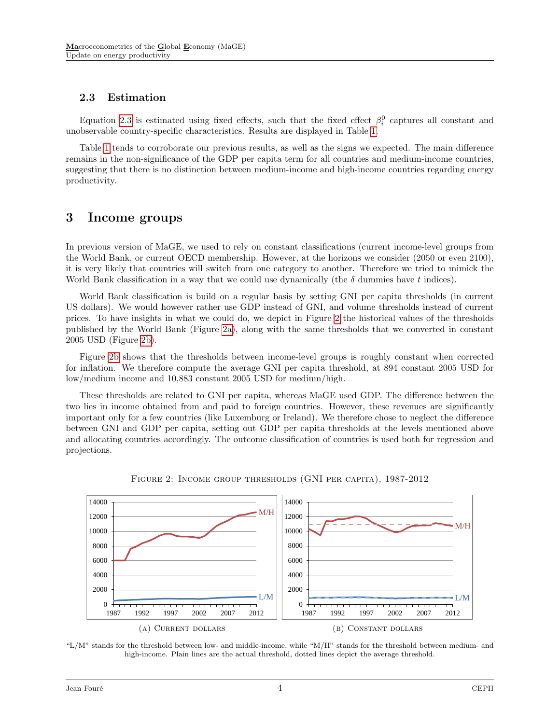### 2.3 Estimation

Equation [2.3](#page-1-1) is estimated using fixed effects, such that the fixed effect  $\beta_i^0$  captures all constant and unobservable country-specific characteristics. Results are displayed in Table [1.](#page-2-1)

Table [1](#page-2-1) tends to corroborate our previous results, as well as the signs we expected. The main difference remains in the non-significance of the GDP per capita term for all countries and medium-income countries, suggesting that there is no distinction between medium-income and high-income countries regarding energy productivity.

### <span id="page-3-0"></span>3 Income groups

In previous version of MaGE, we used to rely on constant classifications (current income-level groups from the World Bank, or current OECD membership. However, at the horizons we consider (2050 or even 2100), it is very likely that countries will switch from one category to another. Therefore we tried to mimick the World Bank classification in a way that we could use dynamically (the  $\delta$  dummies have t indices).

World Bank classification is build on a regular basis by setting GNI per capita thresholds (in current US dollars). We would however rather use GDP instead of GNI, and volume thresholds instead of current prices. To have insights in what we could do, we depict in Figure [2](#page-3-1) the historical values of the thresholds published by the World Bank (Figure [2a\)](#page-3-1), along with the same thresholds that we converted in constant 2005 USD (Figure [2b\)](#page-3-1).

Figure [2b](#page-3-1) shows that the thresholds between income-level groups is roughly constant when corrected for inflation. We therefore compute the average GNI per capita threshold, at 894 constant 2005 USD for low/medium income and 10,883 constant 2005 USD for medium/high.

These thresholds are related to GNI per capita, whereas MaGE used GDP. The difference between the two lies in income obtained from and paid to foreign countries. However, these revenues are significantly important only for a few countries (like Luxemburg or Ireland). We therefore chose to neglect the difference between GNI and GDP per capita, setting out GDP per capita thresholds at the levels mentioned above and allocating countries accordingly. The outcome classification of countries is used both for regression and projections.

<span id="page-3-1"></span>

Figure 2: Income group thresholds (GNI per capita), 1987-2012

"L/M" stands for the threshold between low- and middle-income, while "M/H" stands for the threshold between medium- and high-income. Plain lines are the actual threshold, dotted lines depict the average threshold.